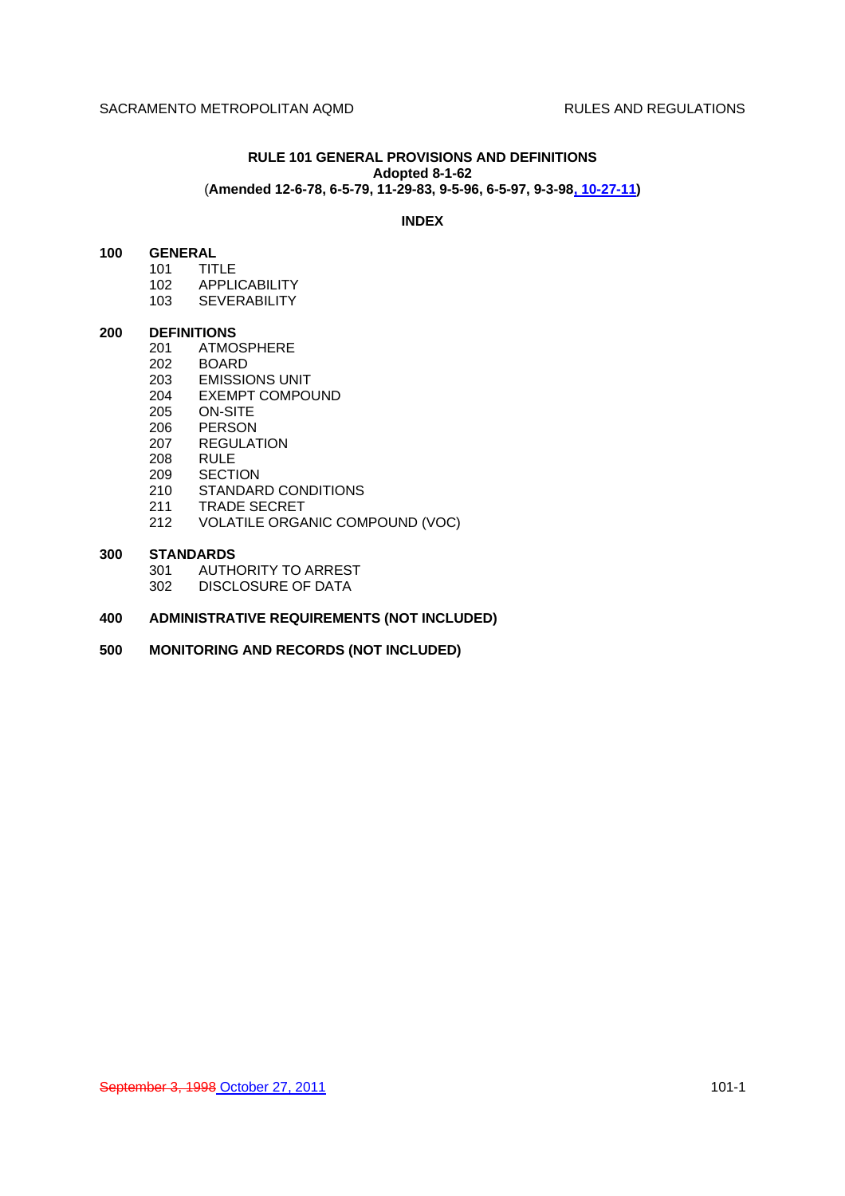# **RULE 101 GENERAL PROVISIONS AND DEFINITIONS Adopted 8-1-62** (**Amended 12-6-78, 6-5-79, 11-29-83, 9-5-96, 6-5-97, 9-3-98, 10-27-11)**

### **INDEX**

# **100 GENERAL**

- 101 TITLE
- 102 APPLICABILITY
- 103 SEVERABILITY

## **200 DEFINITIONS**

- 201 ATMOSPHERE<br>202 BOARD
- **BOARD**
- 203 EMISSIONS UNIT
- 204 EXEMPT COMPOUND
- 205 ON-SITE
- 206 PERSON
- 207 REGULATION
- 208 RULE<br>209 SECTI
- **SECTION** 210 STANDARD CONDITIONS
- 
- 211 TRADE SECRET
- 212 VOLATILE ORGANIC COMPOUND (VOC)

#### **300 STANDARDS**

- 301 AUTHORITY TO ARREST
- 302 DISCLOSURE OF DATA

# **400 ADMINISTRATIVE REQUIREMENTS (NOT INCLUDED)**

**500 MONITORING AND RECORDS (NOT INCLUDED)**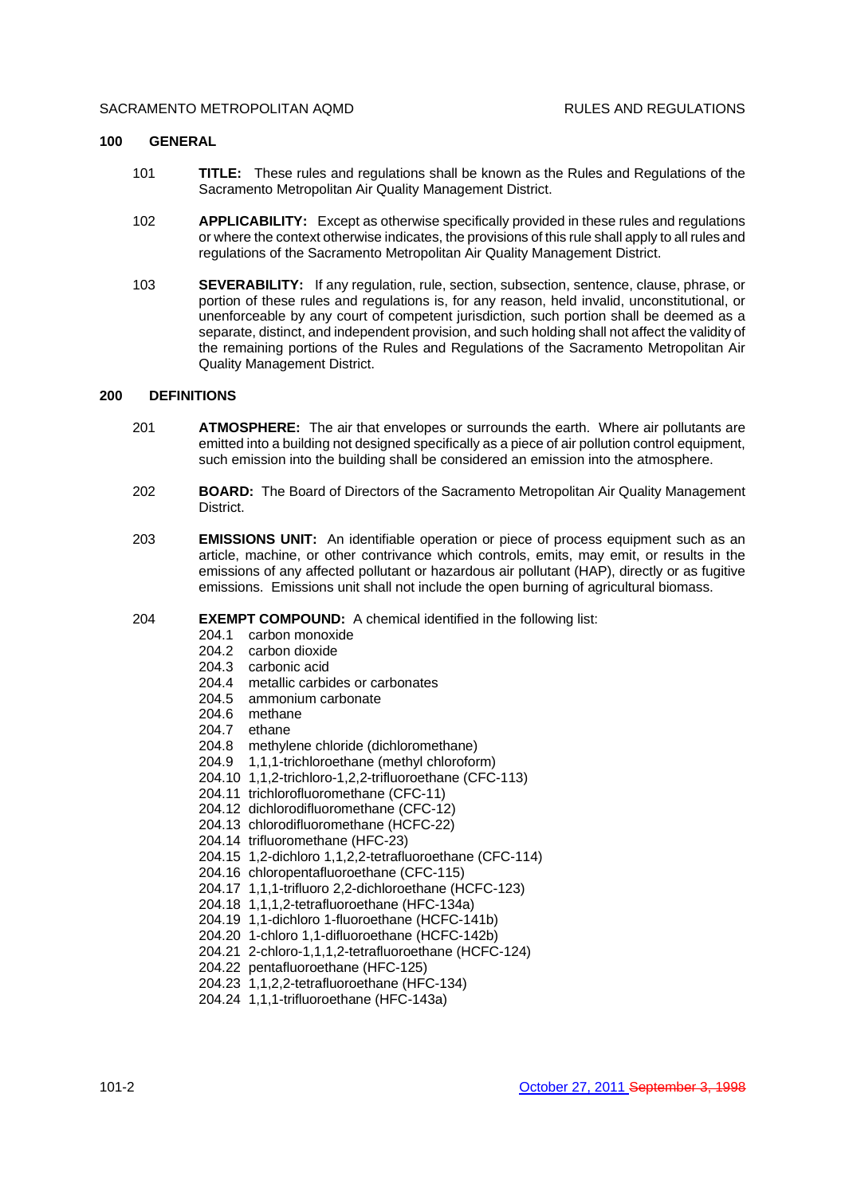#### SACRAMENTO METROPOLITAN AOMD **RULES AND REGULATIONS**

## **100 GENERAL**

- 101 **TITLE:** These rules and regulations shall be known as the Rules and Regulations of the Sacramento Metropolitan Air Quality Management District.
- 102 **APPLICABILITY:** Except as otherwise specifically provided in these rules and regulations or where the context otherwise indicates, the provisions of this rule shall apply to all rules and regulations of the Sacramento Metropolitan Air Quality Management District.
- 103 **SEVERABILITY:** If any regulation, rule, section, subsection, sentence, clause, phrase, or portion of these rules and regulations is, for any reason, held invalid, unconstitutional, or unenforceable by any court of competent jurisdiction, such portion shall be deemed as a separate, distinct, and independent provision, and such holding shall not affect the validity of the remaining portions of the Rules and Regulations of the Sacramento Metropolitan Air Quality Management District.

# **200 DEFINITIONS**

- 201 **ATMOSPHERE:** The air that envelopes or surrounds the earth. Where air pollutants are emitted into a building not designed specifically as a piece of air pollution control equipment, such emission into the building shall be considered an emission into the atmosphere.
- 202 **BOARD:** The Board of Directors of the Sacramento Metropolitan Air Quality Management District.
- 203 **EMISSIONS UNIT:** An identifiable operation or piece of process equipment such as an article, machine, or other contrivance which controls, emits, may emit, or results in the emissions of any affected pollutant or hazardous air pollutant (HAP), directly or as fugitive emissions. Emissions unit shall not include the open burning of agricultural biomass.
- 204 **EXEMPT COMPOUND:** A chemical identified in the following list:
	- 204.1 carbon monoxide
	- 204.2 carbon dioxide
	- 204.3 carbonic acid
	- 204.4 metallic carbides or carbonates
	- 204.5 ammonium carbonate
	- 204.6 methane
	- 204.7 ethane
	- 204.8 methylene chloride (dichloromethane)
	- 204.9 1,1,1-trichloroethane (methyl chloroform)
	- 204.10 1,1,2-trichloro-1,2,2-trifluoroethane (CFC-113)
	- 204.11 trichlorofluoromethane (CFC-11)
	- 204.12 dichlorodifluoromethane (CFC-12)
	- 204.13 chlorodifluoromethane (HCFC-22)
	- 204.14 trifluoromethane (HFC-23)
	- 204.15 1,2-dichloro 1,1,2,2-tetrafluoroethane (CFC-114)
	- 204.16 chloropentafluoroethane (CFC-115)
	- 204.17 1,1,1-trifluoro 2,2-dichloroethane (HCFC-123)
	- 204.18 1,1,1,2-tetrafluoroethane (HFC-134a)
	- 204.19 1,1-dichloro 1-fluoroethane (HCFC-141b)
	- 204.20 1-chloro 1,1-difluoroethane (HCFC-142b)
	- 204.21 2-chloro-1,1,1,2-tetrafluoroethane (HCFC-124)
	- 204.22 pentafluoroethane (HFC-125)
	- 204.23 1,1,2,2-tetrafluoroethane (HFC-134)
	- 204.24 1,1,1-trifluoroethane (HFC-143a)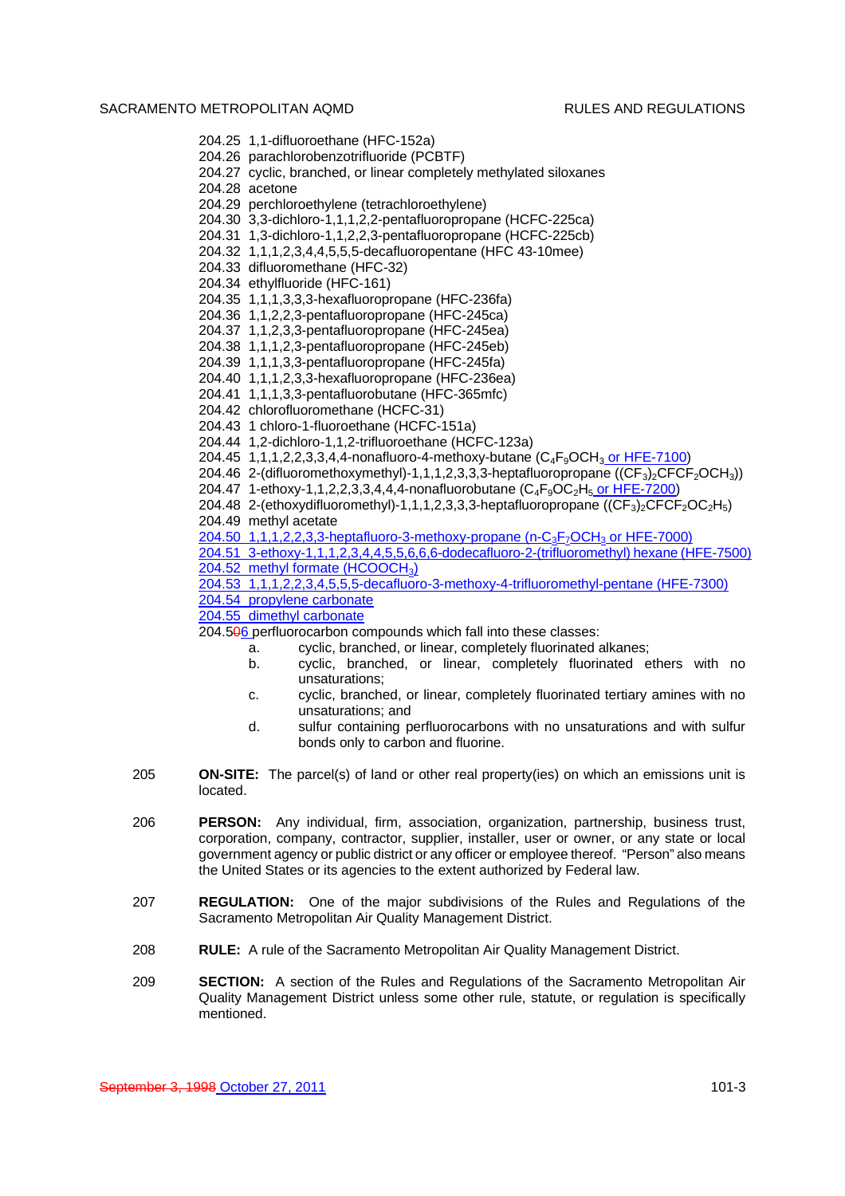# SACRAMENTO METROPOLITAN AOMD **RULES AND REGULATIONS**

```
204.25 1,1-difluoroethane (HFC-152a)
          204.26 parachlorobenzotrifluoride (PCBTF)
          204.27 cyclic, branched, or linear completely methylated siloxanes
          204.28 acetone
          204.29 perchloroethylene (tetrachloroethylene)
          204.30 3,3-dichloro-1,1,1,2,2-pentafluoropropane (HCFC-225ca)
          204.31 1,3-dichloro-1,1,2,2,3-pentafluoropropane (HCFC-225cb)
          204.32 1,1,1,2,3,4,4,5,5,5-decafluoropentane (HFC 43-10mee)
          204.33 difluoromethane (HFC-32)
          204.34 ethylfluoride (HFC-161)
          204.35 1,1,1,3,3,3-hexafluoropropane (HFC-236fa)
          204.36 1,1,2,2,3-pentafluoropropane (HFC-245ca)
          204.37 1,1,2,3,3-pentafluoropropane (HFC-245ea)
          204.38 1,1,1,2,3-pentafluoropropane (HFC-245eb)
          204.39 1,1,1,3,3-pentafluoropropane (HFC-245fa)
          204.40 1,1,1,2,3,3-hexafluoropropane (HFC-236ea)
          204.41 1,1,1,3,3-pentafluorobutane (HFC-365mfc)
          204.42 chlorofluoromethane (HCFC-31)
          204.43 1 chloro-1-fluoroethane (HCFC-151a)
          204.44 1,2-dichloro-1,1,2-trifluoroethane (HCFC-123a)
          204.45 1,1,1,2,2,3,3,4,4-nonafluoro-4-methoxy-butane (C_4F_9OCH_3 \text{ or HFE-7100})204.46 2-(difluoromethoxymethyl)-1,1,1,2,3,3,3-heptafluoropropane ((CF_3)<sub>2</sub>CFCF<sub>2</sub>OCH<sub>3</sub>))
          204.47 1-ethoxy-1,1,2,2,3,3,4,4,4-nonafluorobutane (C<sub>4</sub>F<sub>9</sub>OC<sub>2</sub>H<sub>5</sub> or HFE-7200)
          204.48 2-(ethoxydifluoromethyl)-1,1,1,2,3,3,3-heptafluoropropane ((CF_3)<sub>2</sub>CFCF<sub>2</sub>OC<sub>2</sub>H<sub>5</sub>)
          204.49 methyl acetate
          204.50 1,1,1,2,2,3,3-heptafluoro-3-methoxy-propane (n-C<sub>3</sub>F<sub>7</sub>OCH<sub>3</sub> or HFE-7000)
           204.51 3-ethoxy-1,1,1,2,3,4,4,5,5,6,6,6-dodecafluoro-2-(trifluoromethyl) hexane (HFE-7500)
           204.52 methyl formate (HCOOCH<sub>3</sub>)
          204.53 1,1,1,2,2,3,4,5,5,5-decafluoro-3-methoxy-4-trifluoromethyl-pentane (HFE-7300)
           204.54 propylene carbonate
          204.55 dimethyl carbonate
          204.506 perfluorocarbon compounds which fall into these classes:
                   a. cyclic, branched, or linear, completely fluorinated alkanes;
                   b. cyclic, branched, or linear, completely fluorinated ethers with no
                           unsaturations;
                   c. cyclic, branched, or linear, completely fluorinated tertiary amines with no
                           unsaturations; and
                   d. sulfur containing perfluorocarbons with no unsaturations and with sulfur
                           bonds only to carbon and fluorine.
205 ON-SITE: The parcel(s) of land or other real property(ies) on which an emissions unit is
          located.
206 PERSON: Any individual, firm, association, organization, partnership, business trust,
          corporation, company, contractor, supplier, installer, user or owner, or any state or local
          government agency or public district or any officer or employee thereof. "Person" also means
          the United States or its agencies to the extent authorized by Federal law.
207 REGULATION: One of the major subdivisions of the Rules and Regulations of the
          Sacramento Metropolitan Air Quality Management District.
208 RULE: A rule of the Sacramento Metropolitan Air Quality Management District.
```
209 **SECTION:** A section of the Rules and Regulations of the Sacramento Metropolitan Air Quality Management District unless some other rule, statute, or regulation is specifically mentioned.